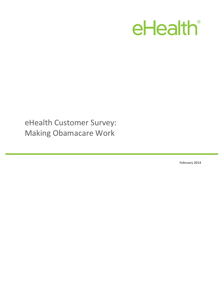# eHealth®

eHealth Customer Survey: Making Obamacare Work

**February 2014**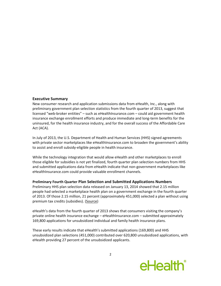#### **Executive Summary**

New consumer research and application submissions data from eHealth, Inc., along with preliminary government plan selection statistics from the fourth quarter of 2013, suggest that licensed "web-broker entities" – such as eHealthInsurance.com – could aid government health insurance exchange enrollment efforts and produce immediate and long-term benefits for the uninsured, for the health insurance industry, and for the overall success of the Affordable Care Act (ACA).

In July of 2013, the U.S. Department of Health and Human Services (HHS) signed agreements with private sector marketplaces like eHealthInsurance.com to broaden the government's ability to assist and enroll subsidy-eligible people in health insurance.

While the technology integration that would allow eHealth and other marketplaces to enroll those eligible for subsidies is not yet finalized, fourth quarter plan selection numbers from HHS and submitted applications data from eHealth indicate that non-government marketplaces like eHealthInsurance.com could provide valuable enrollment channels.

#### **Preliminary Fourth Quarter Plan Selection and Submitted Applications Numbers**

Preliminary HHS plan selection data released on January 13, 2014 showed that 2.15 million people had selected a marketplace health plan on a government exchange in the fourth quarter of 2013. Of those 2.15 million, 21 percent (approximately 451,000) selected a plan without using premium tax credits (subsidies). [\(Source\)](http://www.hhs.gov/news/press/2014pres/01/20140113a.html)

eHealth's data from the fourth quarter of 2013 shows that consumers visiting the company's private online health insurance exchange – eHealthInsurance.com – submitted approximately 169,800 applications for unsubsidized individual and family health insurance plans.

These early results indicate that eHealth's submitted applications (169,800) and HHS unsubsidized plan selections (451,000) contributed over 620,800 unsubsidized applications, with eHealth providing 27 percent of the unsubsidized applicants.

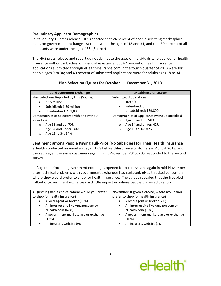# **Preliminary Applicant Demographics**

In its January 13 press release, HHS reported that 24 percent of people selecting marketplace plans on government exchanges were between the ages of 18 and 34, and that 30 percent of all applicants were under the age of 35. [\(Source\)](http://www.hhs.gov/news/press/2014pres/01/20140113a.html)

The HHS press release and report do not delineate the ages of individuals who applied for health insurance without subsidies, or financial assistance, but 42 percent of health insurance applications submitted through eHealthInsurance.com in the fourth quarter of 2013 were for people ages 0 to 34; and 40 percent of submitted applications were for adults ages 18 to 34.

| <b>All Government Exchanges</b>             | eHealthInsurance.com                                  |
|---------------------------------------------|-------------------------------------------------------|
| Plan Selections Reported by HHS (Source)    | <b>Submitted Applications</b>                         |
| 2.15 million                                | 169,800<br>$\qquad \qquad -$                          |
| Subsidized: 1.69 million                    | Subsidized: 0<br>$\overline{\phantom{a}}$             |
| Unsubsidized: 451,000<br>٠                  | Unsubsidized: 169,800<br>$\qquad \qquad \blacksquare$ |
| Demographics of Selectors (with and without | Demographics of Applicants (without subsidies)        |
| subsidies)                                  | Age 35 and up: 58%<br>$\circ$                         |
| Age 35 and up: 70%<br>$\circ$               | Age 34 and under: 42%<br>$\circ$                      |
| Age 34 and under: 30%<br>$\circ$            | Age 18 to 34: 40%<br>$\circ$                          |
| Age 18 to 34: 24%<br>$\circ$                |                                                       |

# **Plan Selection Figures for October 1 – December 31, 2013**

# **Sentiment among People Paying Full-Price (No Subsidies) for Their Health Insurance**

eHealth conducted an email survey of 1,084 eHealthInsurance customers in August 2013, and then surveyed the same customers again in mid-November 2013; 285 responded to the second survey.

In August, before the government exchanges opened for business, and again in mid-November after technical problems with government exchanges had surfaced, eHealth asked consumers where they would prefer to shop for health insurance. The survey revealed that the troubled rollout of government exchanges had little impact on where people preferred to shop.

| August: If given a choice, where would you prefer<br>to shop for health insurance? | November: If given a choice, where would you<br>prefer to shop for health insurance? |
|------------------------------------------------------------------------------------|--------------------------------------------------------------------------------------|
| A local agent or broker (13%)<br>$\bullet$                                         | A local agent or broker (7%)                                                         |
| An Internet site like Amazon.com or<br>٠<br>eHealth.com (67%)                      | An Internet site like Amazon.com or<br>eHealth.com (70%)                             |
| A government marketplace or exchange<br>$\bullet$<br>(12%)                         | A government marketplace or exchange<br>(16%)                                        |
| An insurer's website (9%)                                                          | An insurer's website (7%)                                                            |

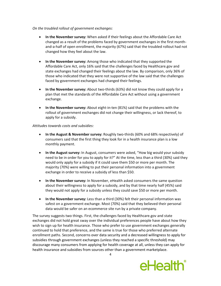#### *On the troubled rollout of government exchanges:*

- **In the November survey:** When asked if their feelings about the Affordable Care Act changed as a result of the problems faced by government exchanges in the first monthand-a-half of open enrollment, the majority (67%) said that the troubled rollout had not changed how they feel about the law.
- **In the November survey:** Among those who indicated that they supported the Affordable Care Act, only 16% said that the challenges faced by Healthcare.gov and state exchanges had changed their feelings about the law. By comparison, only 36% of those who indicated that they were not supportive of the law said that the challenges faced by government exchanges had changed their feelings.
- **In the November survey:** About two-thirds (63%) did not know they could apply for a plan that met the standards of the Affordable Care Act without using a government exchange.
- **In the November survey:** About eight-in-ten (81%) said that the problems with the rollout of government exchanges did not change their willingness, or lack thereof, to apply for a subsidy.

#### *Attitudes towards costs and subsidies:*

- **In the August & November survey:** Roughly two-thirds (60% and 68% respectively) of consumers said that the first thing they look for in a health insurance plan is a low monthly payment.
- **In the August survey:** In August, consumers were asked, "How big would your subsidy need to be in order for you to apply for it?" At the time, less than a third (30%) said they would only apply for a subsidy if it could save them \$50 or more per month. The majority (70%) were willing to put their personal information into a government exchange in order to receive a subsidy of less than \$50.
- **In the November survey:** In November, eHealth asked consumers the same question about their willingness to apply for a subsidy, and by that time nearly half (45%) said they would not apply for a subsidy unless they could save \$50 or more per month.
- **In the November survey:** Less than a third (30%) felt their personal information was safest on a government exchange. Most (70%) said that they believed their personal data would be safer on an ecommerce site run by a private company.

The survey suggests two things. First, the challenges faced by Healthcare.gov and state exchanges did not hold great sway over the individual preferences people have about how they wish to sign up for health insurance. Those who prefer to use government exchanges generally continued to hold that preference, and the same is true for those who preferred alternate enrollment paths. Second, concerns over data security and a decreased willingness to apply for subsidies through government exchanges (unless they reached a specific threshold) may discourage many consumers from applying for health coverage at all, unless they can apply for health insurance and subsidies from sources other than a government marketplace.

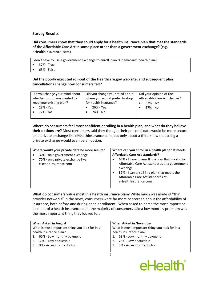# **Survey Results**

**Did consumers know that they could apply for a health insurance plan that met the standards of the Affordable Care Act in some place other than a government exchange? (e.g. eHealthInsurance.com)**

I don't have to use a government exchange to enroll in an "Obamacare" health plan?

- 37% True
- 63% False

# **Did the poorly executed roll-out of the Healthcare.gov web site, and subsequent plan cancellations change how consumers felt?**

| Did you change your mind about | Did you change your mind about | Did your opinion of the     |
|--------------------------------|--------------------------------|-----------------------------|
| whether or not you wanted to   | where you would prefer to shop | Affordable Care Act change? |
| keep your existing plan?       | for health insurance?          | 33% - Yes                   |
| 28% - Yes                      | 26% - Yes                      | 67% - No                    |
| 72% - No                       | 74% - No                       |                             |
|                                |                                |                             |

# **Where do consumers feel most confident enrolling in a health plan, and what do they believe their options are?** Most consumers said they thought their personal data would be more secure

on a private exchange like eHealthInsurance.com, but only about a third knew that using a private exchange would even be an option.

| Where would your private data be more secure?<br>30% - on a government exchange |           | Where can you enroll in a health plan that meets<br><b>Affordable Care Act standards?</b>                                                                                                                               |
|---------------------------------------------------------------------------------|-----------|-------------------------------------------------------------------------------------------------------------------------------------------------------------------------------------------------------------------------|
| 70% - on a private exchange like<br>eHealthInsurance.com                        | $\bullet$ | 63% - I have to enroll in a plan that meets the<br>Affordable Care Act standards at a government<br>exchange<br>37% - I can enroll in a plan that meets the<br>Affordable Care Act standards at<br>eHealthInsurance.com |

**What do consumers value most in a health insurance plan?** While much was made of "thin provider networks" in the news, consumers were far more concerned about the affordability of insurance, both before and during open enrollment. When asked to name the most important element of a health insurance plan, the majority of consumers said a low monthly premium was the most important thing they looked for.

| When Asked in August                           | <b>When Asked in November</b>                  |
|------------------------------------------------|------------------------------------------------|
| What is most important thing you look for in a | What is most important thing you look for in a |
| health insurance plan?                         | health insurance plan?                         |
| 60% - Low monthly payment<br>1.                | 68% - Low monthly payment                      |
| 30% - Low deductible                           | 25% - Low deductible<br>2.                     |
| 9% - Access to my doctor<br>3.                 | 3. 7% - Access to my doctor                    |
|                                                |                                                |

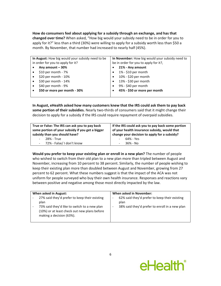**How do consumers feel about applying for a subsidy through an exchange, and has that changed over time?** When asked, "How big would your subsidy need to be in order for you to apply for it?" less than a third (30%) were willing to apply for a subsidy worth less than \$50 a month. By November, that number had increased to nearly half (45%).

| In August: How big would your subsidy need to be | In November: How big would your subsidy need to |
|--------------------------------------------------|-------------------------------------------------|
| in order for you to apply for it?                | be in order for you to apply for it?,           |
| Any amount - 30%                                 | 21% - Any amount                                |
| \$10 per month - $7%$                            | 1% - \$10 per month<br>$\bullet$                |
| \$20 per month - 10%                             | 10% - \$20 per month<br>$\bullet$               |
| \$30 per month - 14%                             | 13% - \$30 per month<br>$\bullet$               |
| \$40 per month - $9\%$                           | 9% - \$40 per month<br>$\bullet$                |
| \$50 or more per month - 30%                     | 45% - \$50 or more per month                    |
|                                                  |                                                 |

**In August, eHealth asked how many customers knew that the IRS could ask them to pay back some portion of their subsidies.** Nearly two-thirds of consumers said that it might change their decision to apply for a subsidy if the IRS could require repayment of overpaid subsidies.

| True or False: The IRS can ask you to pay back<br>some portion of your subsidy if you get a bigger<br>subsidy than you should have? | If the IRS could ask you to pay back some portion<br>of your health insurance subsidy, would that<br>change your decision to apply for a subsidy? |
|-------------------------------------------------------------------------------------------------------------------------------------|---------------------------------------------------------------------------------------------------------------------------------------------------|
| 28% - True                                                                                                                          | 64% - Yes<br>$\overline{\phantom{a}}$                                                                                                             |
| - 72% - False/ I don't know                                                                                                         | $-36\% - N_0$                                                                                                                                     |

**Would you prefer to keep your existing plan or enroll in a new plan?** The number of people who wished to switch from their old plan to a new plan more than tripled between August and November, increasing from 10 percent to 38 percent. Similarly, the number of people wishing to keep their existing plan more than doubled between August and November, growing from 27 percent to 62 percent. What these numbers suggest is that the impact of the ACA was not uniform for people surveyed who buy their own health insurance. Responses and reactions vary between positive and negative among those most directly impacted by the law.

| When asked in August:<br>27% said they'd prefer to keep their existing<br>plan<br>73% said they'd like to switch to a new plan<br>(10%) or at least check out new plans before | When asked in November:<br>62% said they'd prefer to keep their existing<br>plan<br>38% said they'd prefer to enroll in a new plan |
|--------------------------------------------------------------------------------------------------------------------------------------------------------------------------------|------------------------------------------------------------------------------------------------------------------------------------|
| making a decision (63%).                                                                                                                                                       |                                                                                                                                    |

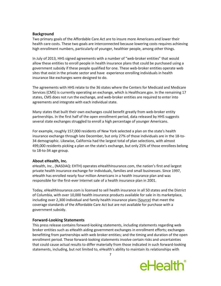### **Background**

Two primary goals of the Affordable Care Act are to insure more Americans and lower their health care costs. These two goals are interconnected because lowering costs requires achieving high enrollment numbers, particularly of younger, healthier people, among other things.

In July of 2013, HHS signed agreements with a number of "web-broker entities" that would allow these entities to enroll people in health insurance plans that could be purchased using a government subsidy if these people qualified for one. These web-broker entities operate web sites that exist in the private sector and have experience enrolling individuals in health insurance like exchanges were designed to do.

The agreements with HHS relate to the 36 states where the Centers for Medicaid and Medicare Services (CMS) is currently operating an exchange, which is Healthcare.gov. In the remaining 17 states, CMS does not run the exchange, and web-broker entities are required to enter into agreements and integrate with each individual state.

Many states that built their own exchanges could benefit greatly from web-broker entity partnerships. In the first half of the open enrollment period, data released by HHS suggests several state exchanges struggled to enroll a high percentage of younger Americans.

For example, roughly 157,000 residents of New York selected a plan on the state's health insurance exchange through late December, but only 27% of those individuals are in the 18-to-34 demographic. Likewise, California had the largest total of plan selections, with almost 499,000 residents picking a plan on the state's exchange, but only 25% of those enrollees belong to 18-to-34 age group.

# **About eHealth, Inc.**

eHealth, Inc., (NASDAQ: EHTH) operates eHealthInsurance.com, the nation's first and largest private health insurance exchange for individuals, families and small businesses. Since 1997, eHealth has enrolled nearly four million Americans in a health insurance plan and was responsible for the first-ever Internet sale of a health insurance plan in 2001.

Today, eHealthInsurance.com is licensed to sell health insurance in all 50 states and the District of Columbia, with over 10,000 health insurance products available for sale in its marketplace, including over 2,300 individual and family health insurance plans [\(Source\)](http://finance.yahoo.com/news/ehealth-rolls-largest-inventory-obamacare-120000859.html) that meet the coverage standards of the Affordable Care Act but are not available for purchase with a government subsidy.

# **Forward-Looking Statements**

This press release contains forward-looking statements, including statements regarding web broker entities such as eHealth aiding government exchanges in enrollment efforts; exchanges benefitting from partnerships with web broker entities; and the timing and duration of the open enrollment period. These forward-looking statements involve certain risks and uncertainties that could cause actual results to differ materially from those indicated in such forward-looking statements, including, but not limited to, eHealth's ability to maintain its relationships with